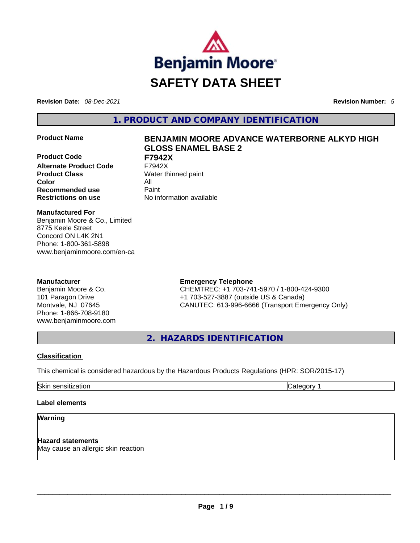

**Revision Date:** *08-Dec-2021* **Revision Number:** *5*

**1. PRODUCT AND COMPANY IDENTIFICATION** 

**Product Code F7942X Alternate Product Code** F7942X **Product Class Water thinned paint Color** All **Recommended use Paint Restrictions on use** No information available

# **Product Name BENJAMIN MOORE ADVANCE WATERBORNE ALKYD HIGH GLOSS ENAMEL BASE 2**

**Manufactured For** Benjamin Moore & Co., Limited 8775 Keele Street Concord ON L4K 2N1 Phone: 1-800-361-5898 www.benjaminmoore.com/en-ca

# **Manufacturer**

Benjamin Moore & Co. 101 Paragon Drive Montvale, NJ 07645 Phone: 1-866-708-9180 www.benjaminmoore.com

# **Emergency Telephone**

CHEMTREC: +1 703-741-5970 / 1-800-424-9300 +1 703-527-3887 (outside US & Canada) CANUTEC: 613-996-6666 (Transport Emergency Only)

**2. HAZARDS IDENTIFICATION** 

# **Classification**

This chemical is considered hazardous by the Hazardous Products Regulations (HPR: SOR/2015-17)

Skin sensitization **Category 1 Category 1** 

# **Label elements**

# **Warning**

**Hazard statements** May cause an allergic skin reaction \_\_\_\_\_\_\_\_\_\_\_\_\_\_\_\_\_\_\_\_\_\_\_\_\_\_\_\_\_\_\_\_\_\_\_\_\_\_\_\_\_\_\_\_\_\_\_\_\_\_\_\_\_\_\_\_\_\_\_\_\_\_\_\_\_\_\_\_\_\_\_\_\_\_\_\_\_\_\_\_\_\_\_\_\_\_\_\_\_\_\_\_\_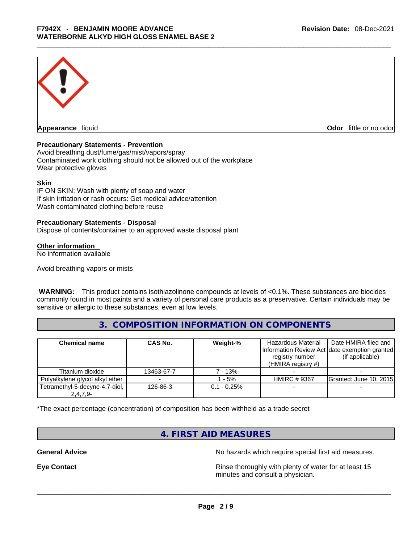

**Appearance** liquid **Odor 11** and **Odor 11** and **Odor 11** and **Odor 11** and **Odor 11** and **Odor** 11 and **Odor** 11 and **Odor** 11 and **Odor** 11 and **Odor** 11 and **Odor** 11 and **Odor** 11 and **Odor** 11 and **Odor** 11 and **Odor** 

# **Precautionary Statements - Prevention**

Avoid breathing dust/fume/gas/mist/vapors/spray Contaminated work clothing should not be allowed out of the workplace Wear protective gloves

#### **Skin**

IF ON SKIN: Wash with plenty of soap and water If skin irritation or rash occurs: Get medical advice/attention Wash contaminated clothing before reuse

#### **Precautionary Statements - Disposal**

Dispose of contents/container to an approved waste disposal plant

#### **Other information**

No information available

Avoid breathing vapors or mists

 **WARNING:** This product contains isothiazolinone compounds at levels of <0.1%. These substances are biocides commonly found in most paints and a variety of personal care products as a preservative. Certain individuals may be sensitive or allergic to these substances, even at low levels.

# **3. COMPOSITION INFORMATION ON COMPONENTS**

| <b>Chemical name</b>            | <b>CAS No.</b> | Weight-%       | Hazardous Material<br>registry number<br>(HMIRA registry $#$ ) | Date HMIRA filed and<br>Information Review Act date exemption granted<br>(if applicable) |
|---------------------------------|----------------|----------------|----------------------------------------------------------------|------------------------------------------------------------------------------------------|
| Titanium dioxide                | 13463-67-7     | 7 - 13%        |                                                                |                                                                                          |
| Polyalkylene glycol alkyl ether |                | $-5%$          | <b>HMIRC #9367</b>                                             | <b>Granted: June 10, 2015</b>                                                            |
| Tetramethyl-5-decyne-4,7-diol,  | 126-86-3       | $0.1 - 0.25\%$ |                                                                |                                                                                          |
| $2,4,7,9-$                      |                |                |                                                                |                                                                                          |

\*The exact percentage (concentration) of composition has been withheld as a trade secret

# **4. FIRST AID MEASURES**

General Advice **General Advice No hazards** which require special first aid measures.

**Eye Contact <b>Rinse** thoroughly with plenty of water for at least 15 minutes and consult a physician.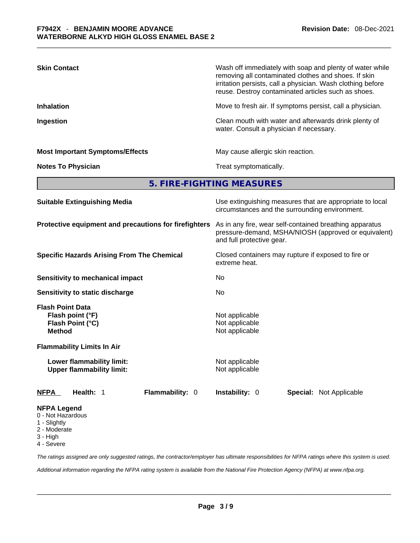| <b>Skin Contact</b>                    | Wash off immediately with soap and plenty of water while<br>removing all contaminated clothes and shoes. If skin<br>irritation persists, call a physician. Wash clothing before<br>reuse. Destroy contaminated articles such as shoes. |
|----------------------------------------|----------------------------------------------------------------------------------------------------------------------------------------------------------------------------------------------------------------------------------------|
| <b>Inhalation</b>                      | Move to fresh air. If symptoms persist, call a physician.                                                                                                                                                                              |
| Ingestion                              | Clean mouth with water and afterwards drink plenty of<br>water. Consult a physician if necessary.                                                                                                                                      |
| <b>Most Important Symptoms/Effects</b> | May cause allergic skin reaction.                                                                                                                                                                                                      |
| <b>Notes To Physician</b>              | Treat symptomatically.                                                                                                                                                                                                                 |
|                                        | 5. FIRE-FIGHTING MEASURES                                                                                                                                                                                                              |
| <b>Suitable Extinguishing Media</b>    | Use extinguishing measures that are appropriate to local                                                                                                                                                                               |

|                                                                                                                       | circumstances and the surrounding environment.                                                                                               |  |  |
|-----------------------------------------------------------------------------------------------------------------------|----------------------------------------------------------------------------------------------------------------------------------------------|--|--|
| Protective equipment and precautions for firefighters                                                                 | As in any fire, wear self-contained breathing apparatus<br>pressure-demand, MSHA/NIOSH (approved or equivalent)<br>and full protective gear. |  |  |
| <b>Specific Hazards Arising From The Chemical</b>                                                                     | Closed containers may rupture if exposed to fire or<br>extreme heat.                                                                         |  |  |
| Sensitivity to mechanical impact                                                                                      | No                                                                                                                                           |  |  |
| Sensitivity to static discharge                                                                                       | No                                                                                                                                           |  |  |
| <b>Flash Point Data</b><br>Flash point (°F)<br>Flash Point (°C)<br><b>Method</b><br><b>Flammability Limits In Air</b> | Not applicable<br>Not applicable<br>Not applicable                                                                                           |  |  |
| Lower flammability limit:<br><b>Upper flammability limit:</b>                                                         | Not applicable<br>Not applicable                                                                                                             |  |  |
| <b>Flammability: 0</b><br><b>NFPA</b><br>Health: 1                                                                    | <b>Instability: 0</b><br><b>Special: Not Applicable</b>                                                                                      |  |  |
| <b>NFPA Legend</b><br>0 - Not Hazardous<br>1 - Slightly<br>2 - Moderate<br>3 - High                                   |                                                                                                                                              |  |  |

4 - Severe

*The ratings assigned are only suggested ratings, the contractor/employer has ultimate responsibilities for NFPA ratings where this system is used.* 

*Additional information regarding the NFPA rating system is available from the National Fire Protection Agency (NFPA) at www.nfpa.org.*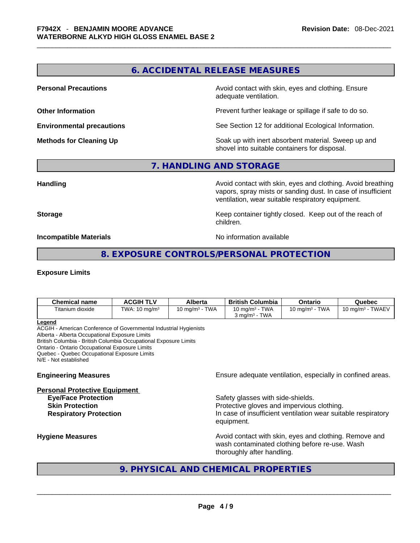# **6. ACCIDENTAL RELEASE MEASURES**

**Personal Precautions Avoid contact with skin, eyes and clothing. Ensure Personal Precautions** adequate ventilation.

**Other Information Discription Discription** Prevent further leakage or spillage if safe to do so.

**Environmental precautions** See Section 12 for additional Ecological Information.

**Methods for Cleaning Up Example 20 Soak** up with inert absorbent material. Sweep up and shovel into suitable containers for disposal.

**7. HANDLING AND STORAGE** 

**Handling Avoid contact with skin, eyes and clothing. Avoid breathing Handling Avoid breathing** vapors, spray mists or sanding dust. In case of insufficient ventilation, wear suitable respiratory equipment.

**Storage Storage Keep container tightly closed. Keep out of the reach of <b>Storage Keep** out of the reach of children.

**Incompatible Materials Incompatible Materials No information available** 

**8. EXPOSURE CONTROLS/PERSONAL PROTECTION** 

## **Exposure Limits**

| <b>Chemical name</b> | <b>ACGIH TLV</b>         | Alberta           | <b>British Columbia</b>                        | Ontario           | Quebec              |
|----------------------|--------------------------|-------------------|------------------------------------------------|-------------------|---------------------|
| Titanium dioxide     | TWA: $10 \text{ mg/m}^3$ | 10 mg/m $3$ - TWA | 10 mg/m $^3$ - TWA<br>$3 \text{ ma/m}^3$ - TWA | 10 mg/m $3$ - TWA | 10 mg/m $3$ - TWAEV |
| Legend               |                          |                   |                                                |                   |                     |

ACGIH - American Conference of Governmental Industrial Hygienists Alberta - Alberta Occupational Exposure Limits British Columbia - British Columbia Occupational Exposure Limits Ontario - Ontario Occupational Exposure Limits Quebec - Quebec Occupational Exposure Limits N/E - Not established

**Personal Protective Equipment**

**Engineering Measures Engineering Measures** Ensure adequate ventilation, especially in confined areas.

**Eye/Face Protection Safety glasses with side-shields. Skin Protection Protection Protective gloves and impervious clothing. Respiratory Protection In case of insufficient ventilation wear suitable respiratory** equipment.

**Hygiene Measures Avoid contact with skin, eyes and clothing. Remove and Avoid contact with skin, eyes and clothing. Remove and Avoid contact with skin, eyes and clothing. Remove and** wash contaminated clothing before re-use. Wash

# thoroughly after handling.<br>  $\begin{array}{|l|l|}\hline \textbf{9. PHYSICAL AND CHEMICAL PROPERTIES}\end{array}$ **9. PHYSICAL AND CHEMICAL PROPERTIES**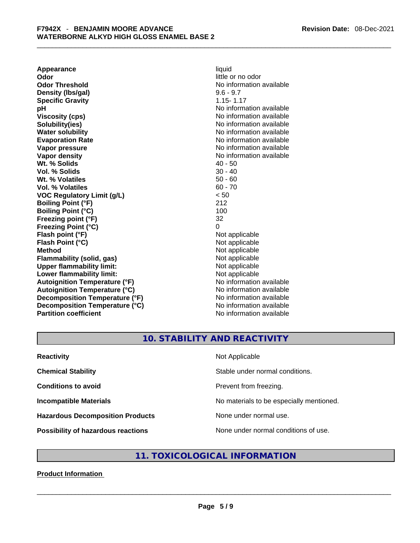**Appearance** liquid **Odor Odor Odor Odor Odor Odor** *little or no odor little or no odor* **Odor Threshold No information available No information available Density (lbs/gal)** 9.6 - 9.7 **Specific Gravity** 1.15- 1.17 **pH bH** *pH* **Viscosity (cps) No information available Solubility(ies)** No information available **Water solubility Water Solubility**<br> **Evaporation Rate** Moinformation available<br>
No information available **Vapor pressure Vapor pressure No information available Vapor density**<br> **We Solids**<br>
We Solids
2019<br>
We Solid Solid Solid Structure 2019<br>
2019<br>
2019<br>
2019<br>
2019<br>
2019<br>
2029<br>
2029<br>
2029<br>
2029<br>
2029<br>
2029<br>
2029 **Wt. % Solids** 40 - 50<br> **Vol. % Solids** 30 - 40 **Vol. % Solids Wt. % Volatiles** 50 - 60 **Vol. % Volatiles** 60 - 70 **VOC Regulatory Limit (g/L)** < 50 **Boiling Point (°F)** 212 **Boiling Point (°C) Freezing point (°F)** 32 **Freezing Point (°C)** 0 **Flash point (°F)** Not applicable **Flash Point (°C)** Not applicable **Method**<br> **Plammability (solid, gas)**<br> **Plammability (solid, gas)**<br> **Not** applicable **Flammability** (solid, gas) **Upper flammability limit:** Not applicable **Lower flammability limit:** Not applicable **Autoignition Temperature (°F)** No information available **Autoignition Temperature (°C)** No information available **Decomposition Temperature (°F)** No information available **Decomposition Temperature (°C)** No information available **Partition coefficient** No information available

**Evaporation Rate** No information available

# **10. STABILITY AND REACTIVITY**

| <b>Reactivity</b>                         | Not Applicable                           |
|-------------------------------------------|------------------------------------------|
| <b>Chemical Stability</b>                 | Stable under normal conditions.          |
| <b>Conditions to avoid</b>                | Prevent from freezing.                   |
| <b>Incompatible Materials</b>             | No materials to be especially mentioned. |
| <b>Hazardous Decomposition Products</b>   | None under normal use.                   |
| <b>Possibility of hazardous reactions</b> | None under normal conditions of use.     |

# **11. TOXICOLOGICAL INFORMATION**

**Product Information**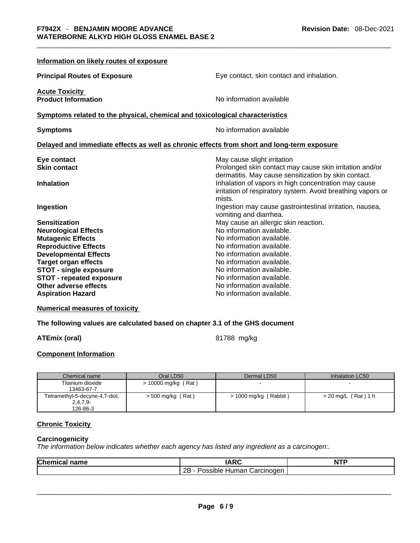| Information on likely routes of exposure                                                   |                                                                                                                                                |  |  |  |
|--------------------------------------------------------------------------------------------|------------------------------------------------------------------------------------------------------------------------------------------------|--|--|--|
| <b>Principal Routes of Exposure</b>                                                        | Eye contact, skin contact and inhalation.                                                                                                      |  |  |  |
| <b>Acute Toxicity</b><br><b>Product Information</b>                                        | No information available                                                                                                                       |  |  |  |
| Symptoms related to the physical, chemical and toxicological characteristics               |                                                                                                                                                |  |  |  |
| <b>Symptoms</b>                                                                            | No information available                                                                                                                       |  |  |  |
| Delayed and immediate effects as well as chronic effects from short and long-term exposure |                                                                                                                                                |  |  |  |
| Eye contact<br><b>Skin contact</b>                                                         | May cause slight irritation<br>Prolonged skin contact may cause skin irritation and/or<br>dermatitis. May cause sensitization by skin contact. |  |  |  |
| <b>Inhalation</b>                                                                          | Inhalation of vapors in high concentration may cause<br>irritation of respiratory system. Avoid breathing vapors or<br>mists.                  |  |  |  |
| Ingestion                                                                                  | Ingestion may cause gastrointestinal irritation, nausea,<br>vomiting and diarrhea.                                                             |  |  |  |
| <b>Sensitization</b>                                                                       | May cause an allergic skin reaction.                                                                                                           |  |  |  |
| <b>Neurological Effects</b>                                                                | No information available.                                                                                                                      |  |  |  |
| <b>Mutagenic Effects</b>                                                                   | No information available.                                                                                                                      |  |  |  |
| <b>Reproductive Effects</b>                                                                | No information available.                                                                                                                      |  |  |  |
| <b>Developmental Effects</b>                                                               | No information available.                                                                                                                      |  |  |  |
| <b>Target organ effects</b>                                                                | No information available.                                                                                                                      |  |  |  |
| <b>STOT - single exposure</b>                                                              | No information available.                                                                                                                      |  |  |  |
| <b>STOT - repeated exposure</b><br>Other adverse effects                                   | No information available.<br>No information available.                                                                                         |  |  |  |
|                                                                                            | No information available.                                                                                                                      |  |  |  |
| <b>Aspiration Hazard</b>                                                                   |                                                                                                                                                |  |  |  |

# **Numerical measures of toxicity**

# **The following values are calculated based on chapter 3.1 of the GHS document**

# **ATEmix (oral)** 81788 mg/kg

# **Component Information**

| Chemical name                  | Oral LD50             | Dermal LD50           | Inhalation LC50     |
|--------------------------------|-----------------------|-----------------------|---------------------|
| Titanium dioxide               | $> 10000$ mg/kg (Rat) |                       |                     |
| 13463-67-7                     |                       |                       |                     |
| Tetramethyl-5-decyne-4,7-diol, | $>$ 500 mg/kg (Rat)   | > 1000 mg/kg (Rabbit) | > 20 mg/L (Rat) 1 h |
| $2,4,7,9-$                     |                       |                       |                     |
| 126-86-3                       |                       |                       |                     |

# **Chronic Toxicity**

# **Carcinogenicity**

*The information below indicates whether each agency has listed any ingredient as a carcinogen:.* 

| 2B - Possible Human Carcinogen |  |
|--------------------------------|--|
|                                |  |
|                                |  |
|                                |  |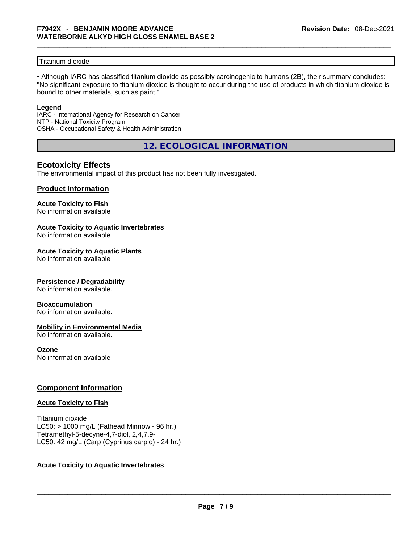| -<br>חור<br>⊣ו »ג.<br>∙ iiui. |  |
|-------------------------------|--|

• Although IARC has classified titanium dioxide as possibly carcinogenic to humans (2B), their summary concludes: "No significant exposure to titanium dioxide is thought to occur during the use of products in which titanium dioxide is bound to other materials, such as paint."

#### **Legend**

IARC - International Agency for Research on Cancer NTP - National Toxicity Program OSHA - Occupational Safety & Health Administration

**12. ECOLOGICAL INFORMATION** 

# **Ecotoxicity Effects**

The environmental impact of this product has not been fully investigated.

# **Product Information**

# **Acute Toxicity to Fish**

No information available

# **Acute Toxicity to Aquatic Invertebrates**

No information available

## **Acute Toxicity to Aquatic Plants**

No information available

# **Persistence / Degradability**

No information available.

## **Bioaccumulation**

No information available.

# **Mobility in Environmental Media**

No information available.

## **Ozone**

No information available

# **Component Information**

## **Acute Toxicity to Fish**

Titanium dioxide  $LC50:$  > 1000 mg/L (Fathead Minnow - 96 hr.) Tetramethyl-5-decyne-4,7-diol, 2,4,7,9- LC50: 42 mg/L (Carp (Cyprinus carpio) - 24 hr.)

# **Acute Toxicity to Aquatic Invertebrates**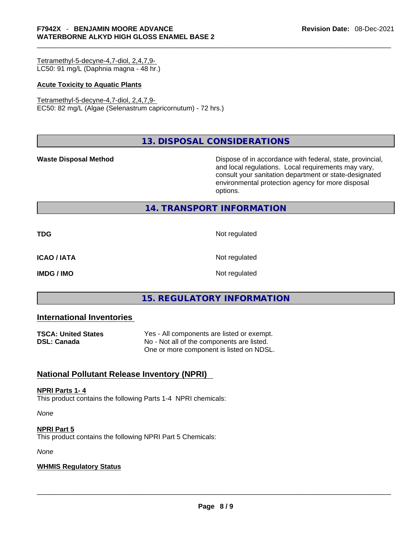Tetramethyl-5-decyne-4,7-diol, 2,4,7,9- LC50: 91 mg/L (Daphnia magna - 48 hr.)

## **Acute Toxicity to Aquatic Plants**

Tetramethyl-5-decyne-4,7-diol, 2,4,7,9- EC50: 82 mg/L (Algae (Selenastrum capricornutum) - 72 hrs.)

**13. DISPOSAL CONSIDERATIONS** 

**Waste Disposal Method** Dispose of in accordance with federal, state, provincial, and local regulations. Local requirements may vary, consult your sanitation department or state-designated environmental protection agency for more disposal options.

# **14. TRANSPORT INFORMATION**

**TDG** Not regulated **ICAO / IATA** Not regulated **IMDG / IMO** Not regulated

# **15. REGULATORY INFORMATION**

# **International Inventories**

| <b>TSCA: United States</b> | Yes - All components are listed or exempt. |
|----------------------------|--------------------------------------------|
| DSL: Canada                | No - Not all of the components are listed. |
|                            | One or more component is listed on NDSL.   |

# **National Pollutant Release Inventory (NPRI)**

## **NPRI Parts 1- 4**

This product contains the following Parts 1-4 NPRI chemicals:

*None*

## **NPRI Part 5**

This product contains the following NPRI Part 5 Chemicals:

*None*

# **WHMIS Regulatory Status**